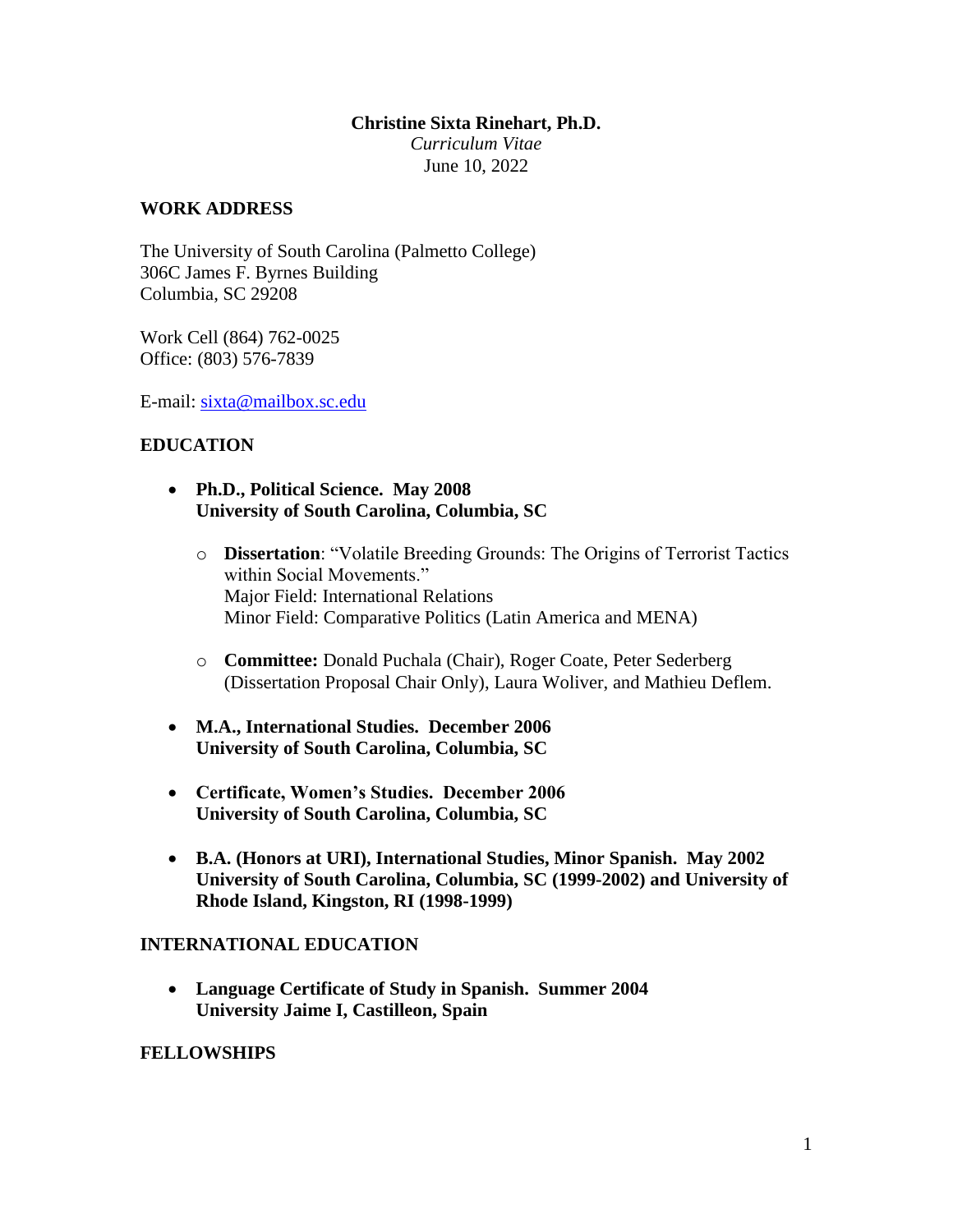#### **Christine Sixta Rinehart, Ph.D.**

*Curriculum Vitae* June 10, 2022

### **WORK ADDRESS**

The University of South Carolina (Palmetto College) 306C James F. Byrnes Building Columbia, SC 29208

Work Cell (864) 762-0025 Office: (803) 576-7839

E-mail: [sixta@mailbox.sc.edu](mailto:sixta@mailbox.sc.edu)

### **EDUCATION**

- **Ph.D., Political Science. May 2008 University of South Carolina, Columbia, SC**
	- o **Dissertation**: "Volatile Breeding Grounds: The Origins of Terrorist Tactics within Social Movements." Major Field: International Relations Minor Field: Comparative Politics (Latin America and MENA)
	- o **Committee:** Donald Puchala (Chair), Roger Coate, Peter Sederberg (Dissertation Proposal Chair Only), Laura Woliver, and Mathieu Deflem.
- **M.A., International Studies. December 2006 University of South Carolina, Columbia, SC**
- **Certificate, Women's Studies. December 2006 University of South Carolina, Columbia, SC**
- **B.A. (Honors at URI), International Studies, Minor Spanish. May 2002 University of South Carolina, Columbia, SC (1999-2002) and University of Rhode Island, Kingston, RI (1998-1999)**

### **INTERNATIONAL EDUCATION**

 **Language Certificate of Study in Spanish. Summer 2004 University Jaime I, Castilleon, Spain**

### **FELLOWSHIPS**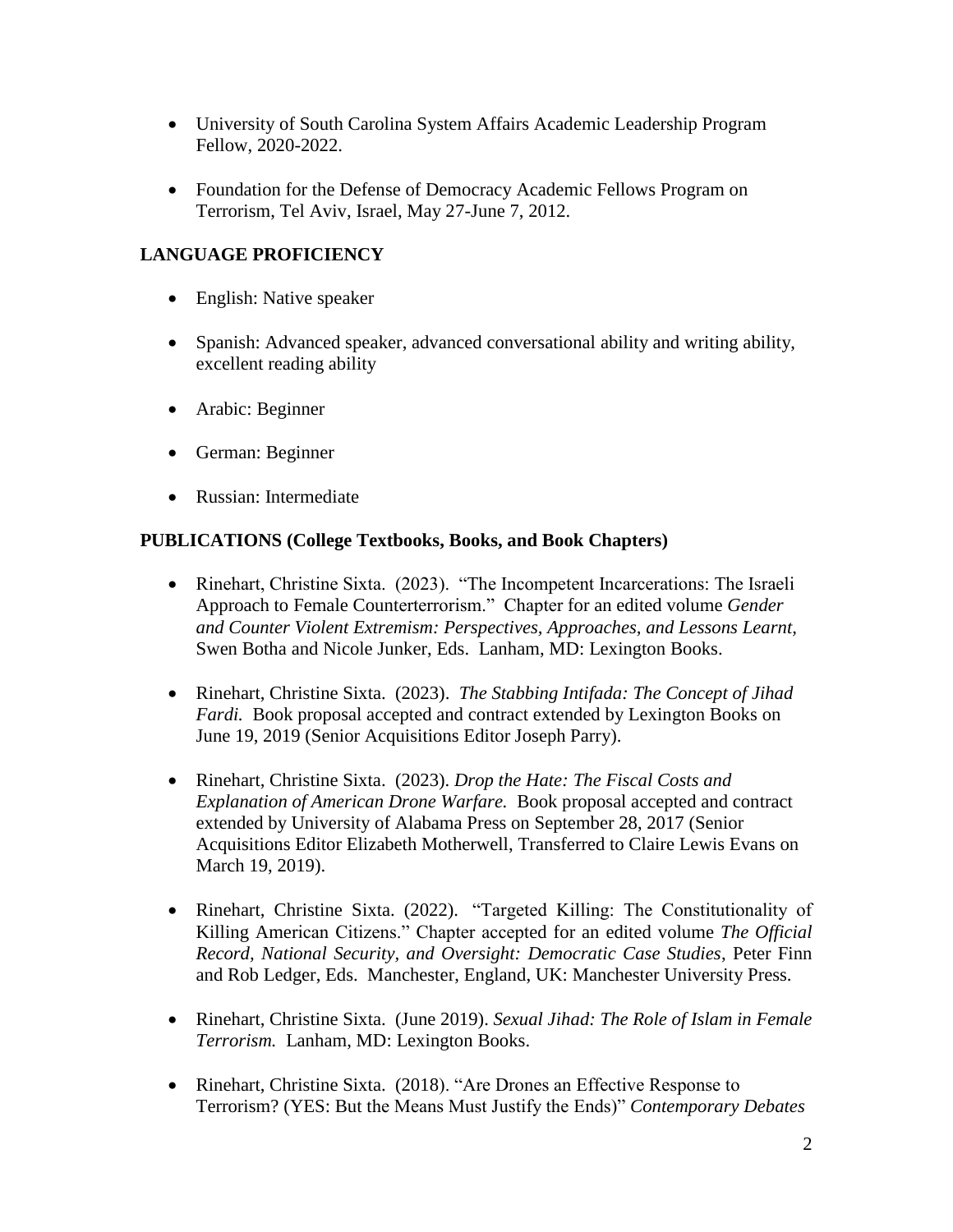- University of South Carolina System Affairs Academic Leadership Program Fellow, 2020-2022.
- Foundation for the Defense of Democracy Academic Fellows Program on Terrorism, Tel Aviv, Israel, May 27-June 7, 2012.

# **LANGUAGE PROFICIENCY**

- English: Native speaker
- Spanish: Advanced speaker, advanced conversational ability and writing ability, excellent reading ability
- Arabic: Beginner
- German: Beginner
- Russian: Intermediate

## **PUBLICATIONS (College Textbooks, Books, and Book Chapters)**

- Rinehart, Christine Sixta. (2023). "The Incompetent Incarcerations: The Israeli Approach to Female Counterterrorism." Chapter for an edited volume *Gender and Counter Violent Extremism: Perspectives, Approaches, and Lessons Learnt,*  Swen Botha and Nicole Junker, Eds. Lanham, MD: Lexington Books.
- Rinehart, Christine Sixta. (2023). *The Stabbing Intifada: The Concept of Jihad Fardi.* Book proposal accepted and contract extended by Lexington Books on June 19, 2019 (Senior Acquisitions Editor Joseph Parry).
- Rinehart, Christine Sixta. (2023). *Drop the Hate: The Fiscal Costs and Explanation of American Drone Warfare.* Book proposal accepted and contract extended by University of Alabama Press on September 28, 2017 (Senior Acquisitions Editor Elizabeth Motherwell, Transferred to Claire Lewis Evans on March 19, 2019).
- Rinehart, Christine Sixta. (2022). "Targeted Killing: The Constitutionality of Killing American Citizens." Chapter accepted for an edited volume *The Official Record, National Security, and Oversight: Democratic Case Studies*, Peter Finn and Rob Ledger, Eds. Manchester, England, UK: Manchester University Press.
- Rinehart, Christine Sixta. (June 2019). *Sexual Jihad: The Role of Islam in Female Terrorism.* Lanham, MD: Lexington Books.
- Rinehart, Christine Sixta. (2018). "Are Drones an Effective Response to Terrorism? (YES: But the Means Must Justify the Ends)" *Contemporary Debates*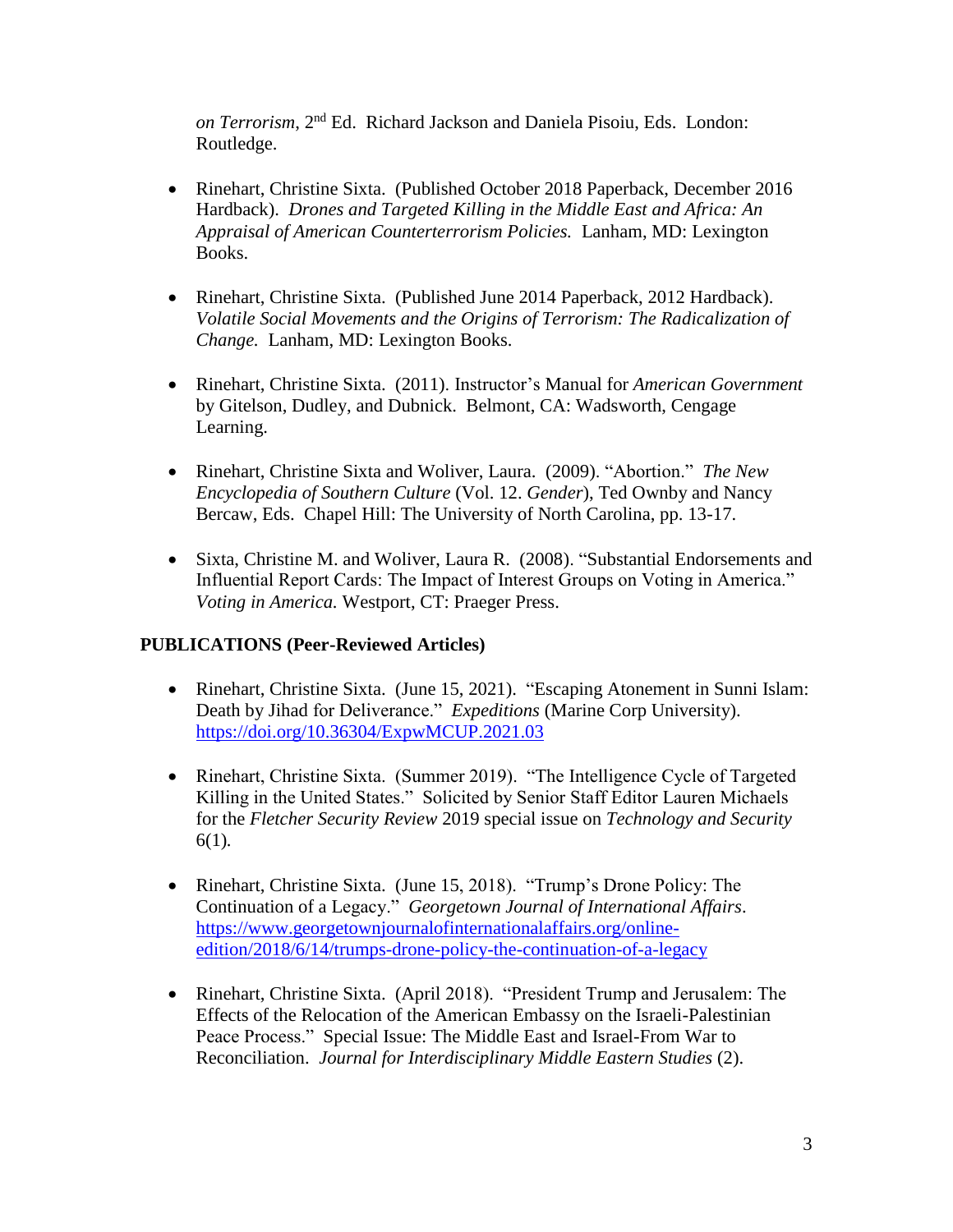*on Terrorism*, 2nd Ed. Richard Jackson and Daniela Pisoiu, Eds. London: Routledge.

- Rinehart, Christine Sixta. (Published October 2018 Paperback, December 2016 Hardback). *Drones and Targeted Killing in the Middle East and Africa: An Appraisal of American Counterterrorism Policies.* Lanham, MD: Lexington Books.
- Rinehart, Christine Sixta. (Published June 2014 Paperback, 2012 Hardback). *Volatile Social Movements and the Origins of Terrorism: The Radicalization of Change.* Lanham, MD: Lexington Books.
- Rinehart, Christine Sixta. (2011). Instructor's Manual for *American Government* by Gitelson, Dudley, and Dubnick. Belmont, CA: Wadsworth, Cengage Learning.
- Rinehart, Christine Sixta and Woliver, Laura. (2009). "Abortion." *The New Encyclopedia of Southern Culture* (Vol. 12. *Gender*), Ted Ownby and Nancy Bercaw, Eds. Chapel Hill: The University of North Carolina, pp. 13-17.
- Sixta, Christine M. and Woliver, Laura R. (2008). "Substantial Endorsements and Influential Report Cards: The Impact of Interest Groups on Voting in America." *Voting in America.* Westport, CT: Praeger Press.

## **PUBLICATIONS (Peer-Reviewed Articles)**

- Rinehart, Christine Sixta. (June 15, 2021). "Escaping Atonement in Sunni Islam: Death by Jihad for Deliverance." *Expeditions* (Marine Corp University). <https://doi.org/10.36304/ExpwMCUP.2021.03>
- Rinehart, Christine Sixta. (Summer 2019). "The Intelligence Cycle of Targeted Killing in the United States." Solicited by Senior Staff Editor Lauren Michaels for the *Fletcher Security Review* 2019 special issue on *Technology and Security*  6(1)*.*
- Rinehart, Christine Sixta. (June 15, 2018). "Trump's Drone Policy: The Continuation of a Legacy." *Georgetown Journal of International Affairs*. [https://www.georgetownjournalofinternationalaffairs.org/online](https://www.georgetownjournalofinternationalaffairs.org/online-edition/2018/6/14/trumps-drone-policy-the-continuation-of-a-legacy)[edition/2018/6/14/trumps-drone-policy-the-continuation-of-a-legacy](https://www.georgetownjournalofinternationalaffairs.org/online-edition/2018/6/14/trumps-drone-policy-the-continuation-of-a-legacy)
- Rinehart, Christine Sixta. (April 2018). "President Trump and Jerusalem: The Effects of the Relocation of the American Embassy on the Israeli-Palestinian Peace Process." Special Issue: The Middle East and Israel-From War to Reconciliation. *Journal for Interdisciplinary Middle Eastern Studies* (2).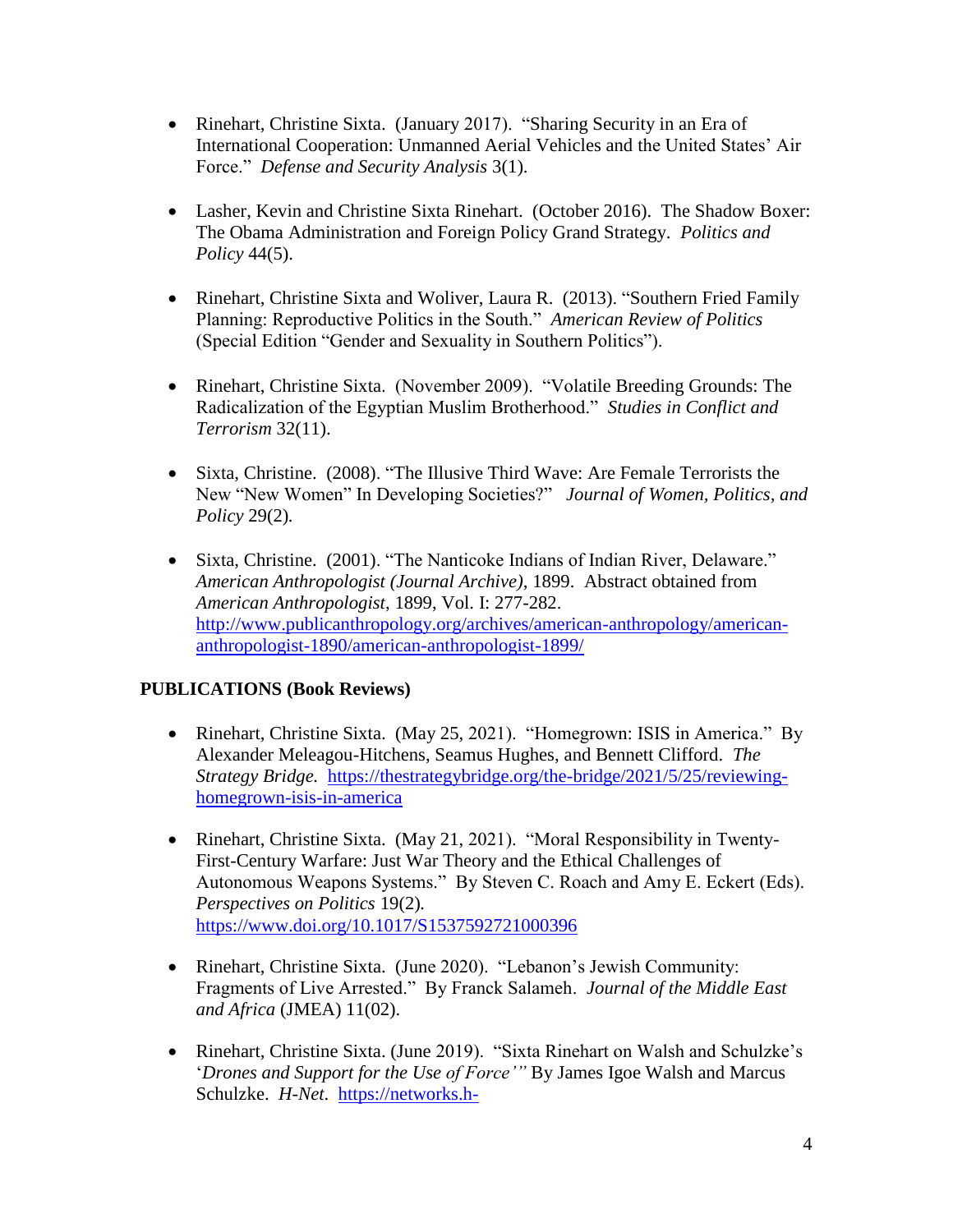- Rinehart, Christine Sixta. (January 2017). "Sharing Security in an Era of International Cooperation: Unmanned Aerial Vehicles and the United States' Air Force." *Defense and Security Analysis* 3(1).
- Lasher, Kevin and Christine Sixta Rinehart. (October 2016). The Shadow Boxer: The Obama Administration and Foreign Policy Grand Strategy. *Politics and Policy* 44(5).
- Rinehart, Christine Sixta and Woliver, Laura R. (2013). "Southern Fried Family Planning: Reproductive Politics in the South." *American Review of Politics* (Special Edition "Gender and Sexuality in Southern Politics").
- Rinehart, Christine Sixta. (November 2009). "Volatile Breeding Grounds: The Radicalization of the Egyptian Muslim Brotherhood." *Studies in Conflict and Terrorism* 32(11).
- Sixta, Christine. (2008). "The Illusive Third Wave: Are Female Terrorists the New "New Women" In Developing Societies?" *Journal of Women, Politics, and Policy* 29(2)*.*
- Sixta, Christine. (2001). "The Nanticoke Indians of Indian River, Delaware." *American Anthropologist (Journal Archive)*, 1899. Abstract obtained from *American Anthropologist*, 1899, Vol. I: 277-282. [http://www.publicanthropology.org/archives/american-anthropology/american](http://www.publicanthropology.org/archives/american-anthropology/american-anthropologist-1890/american-anthropologist-1899/)[anthropologist-1890/american-anthropologist-1899/](http://www.publicanthropology.org/archives/american-anthropology/american-anthropologist-1890/american-anthropologist-1899/)

## **PUBLICATIONS (Book Reviews)**

- Rinehart, Christine Sixta. (May 25, 2021). "Homegrown: ISIS in America." By Alexander Meleagou-Hitchens, Seamus Hughes, and Bennett Clifford. *The Strategy Bridge.* [https://thestrategybridge.org/the-bridge/2021/5/25/reviewing](https://thestrategybridge.org/the-bridge/2021/5/25/reviewing-homegrown-isis-in-america)[homegrown-isis-in-america](https://thestrategybridge.org/the-bridge/2021/5/25/reviewing-homegrown-isis-in-america)
- Rinehart, Christine Sixta. (May 21, 2021). "Moral Responsibility in Twenty-First-Century Warfare: Just War Theory and the Ethical Challenges of Autonomous Weapons Systems." By Steven C. Roach and Amy E. Eckert (Eds). *Perspectives on Politics* 19(2)*.*  <https://www.doi.org/10.1017/S1537592721000396>
- Rinehart, Christine Sixta. (June 2020). "Lebanon's Jewish Community: Fragments of Live Arrested." By Franck Salameh. *Journal of the Middle East and Africa* (JMEA) 11(02).
- Rinehart, Christine Sixta. (June 2019). "Sixta Rinehart on Walsh and Schulzke's '*Drones and Support for the Use of Force'"* By James Igoe Walsh and Marcus Schulzke. *H-Net*. [https://networks.h-](https://networks.h-net.org/node/28443/reviews/4194852/rinehart-walsh-and-schulzke-drones-and-support-use-force)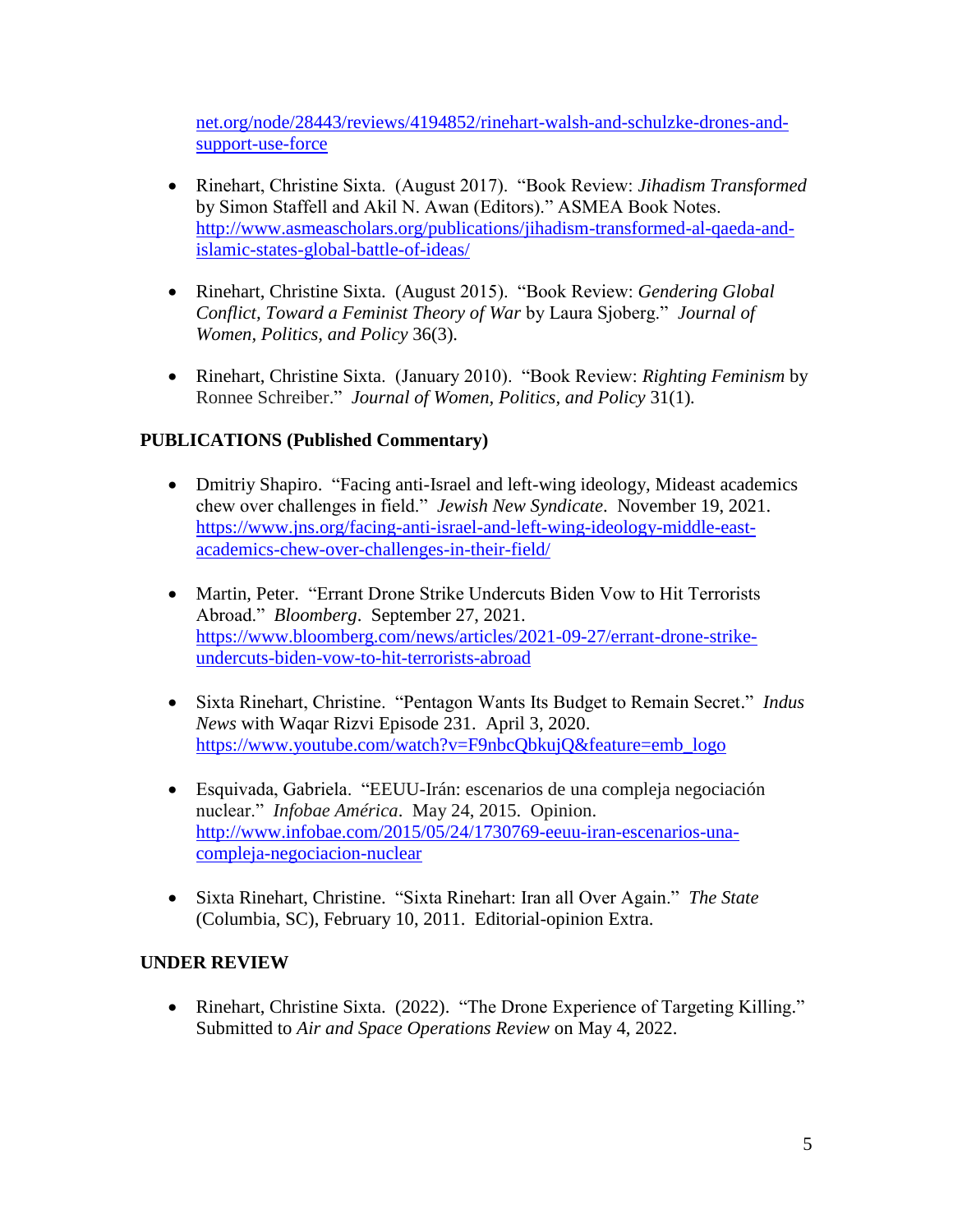[net.org/node/28443/reviews/4194852/rinehart-walsh-and-schulzke-drones-and](https://networks.h-net.org/node/28443/reviews/4194852/rinehart-walsh-and-schulzke-drones-and-support-use-force)[support-use-force](https://networks.h-net.org/node/28443/reviews/4194852/rinehart-walsh-and-schulzke-drones-and-support-use-force)

- Rinehart, Christine Sixta. (August 2017). "Book Review: *Jihadism Transformed*  by Simon Staffell and Akil N. Awan (Editors)." ASMEA Book Notes. [http://www.asmeascholars.org/publications/jihadism-transformed-al-qaeda-and](http://www.asmeascholars.org/publications/jihadism-transformed-al-qaeda-and-islamic-states-global-battle-of-ideas/)[islamic-states-global-battle-of-ideas/](http://www.asmeascholars.org/publications/jihadism-transformed-al-qaeda-and-islamic-states-global-battle-of-ideas/)
- Rinehart, Christine Sixta. (August 2015). "Book Review: *Gendering Global Conflict, Toward a Feminist Theory of War* by Laura Sjoberg." *Journal of Women, Politics, and Policy* 36(3).
- Rinehart, Christine Sixta. (January 2010). "Book Review: *Righting Feminism* by Ronnee Schreiber." *Journal of Women, Politics, and Policy* 31(1)*.*

# **PUBLICATIONS (Published Commentary)**

- [Dmitriy Shapiro.](https://www.jns.org/writers/dmitriy-shapiro/) "Facing anti-Israel and left-wing ideology, Mideast academics chew over challenges in field." *Jewish New Syndicate*. November 19, 2021. [https://www.jns.org/facing-anti-israel-and-left-wing-ideology-middle-east](https://www.jns.org/facing-anti-israel-and-left-wing-ideology-middle-east-academics-chew-over-challenges-in-their-field/)[academics-chew-over-challenges-in-their-field/](https://www.jns.org/facing-anti-israel-and-left-wing-ideology-middle-east-academics-chew-over-challenges-in-their-field/)
- Martin, Peter. "Errant Drone Strike Undercuts Biden Vow to Hit Terrorists Abroad." *Bloomberg*. September 27, 2021. [https://www.bloomberg.com/news/articles/2021-09-27/errant-drone-strike](https://www.bloomberg.com/news/articles/2021-09-27/errant-drone-strike-undercuts-biden-vow-to-hit-terrorists-abroad)[undercuts-biden-vow-to-hit-terrorists-abroad](https://www.bloomberg.com/news/articles/2021-09-27/errant-drone-strike-undercuts-biden-vow-to-hit-terrorists-abroad)
- Sixta Rinehart, Christine. "Pentagon Wants Its Budget to Remain Secret." *Indus News* with Waqar Rizvi Episode 231. April 3, 2020. [https://www.youtube.com/watch?v=F9nbcQbkujQ&feature=emb\\_logo](https://www.youtube.com/watch?v=F9nbcQbkujQ&feature=emb_logo)
- Esquivada, Gabriela. "EEUU-Irán: escenarios de una compleja negociación nuclear." *Infobae América*. May 24, 2015. Opinion. [http://www.infobae.com/2015/05/24/1730769-eeuu-iran-escenarios-una](http://www.infobae.com/2015/05/24/1730769-eeuu-iran-escenarios-una-compleja-negociacion-nuclear)[compleja-negociacion-nuclear](http://www.infobae.com/2015/05/24/1730769-eeuu-iran-escenarios-una-compleja-negociacion-nuclear)
- Sixta Rinehart, Christine. "Sixta Rinehart: Iran all Over Again." *The State* (Columbia, SC), February 10, 2011. Editorial-opinion Extra.

# **UNDER REVIEW**

• Rinehart, Christine Sixta. (2022). "The Drone Experience of Targeting Killing." Submitted to *Air and Space Operations Review* on May 4, 2022.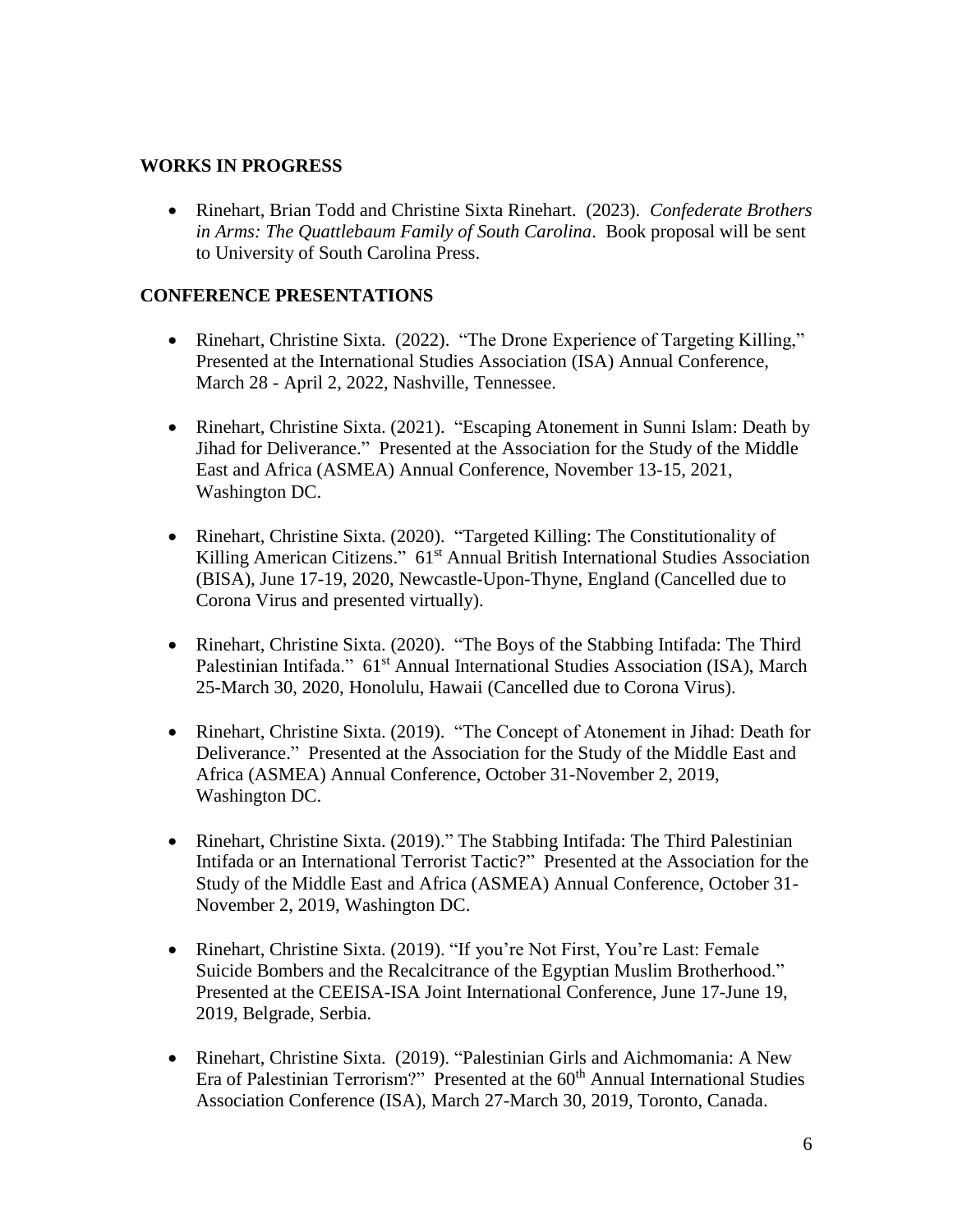### **WORKS IN PROGRESS**

 Rinehart, Brian Todd and Christine Sixta Rinehart. (2023). *Confederate Brothers in Arms: The Quattlebaum Family of South Carolina*. Book proposal will be sent to University of South Carolina Press.

### **CONFERENCE PRESENTATIONS**

- Rinehart, Christine Sixta. (2022). "The Drone Experience of Targeting Killing," Presented at the International Studies Association (ISA) Annual Conference, March 28 - April 2, 2022, Nashville, Tennessee.
- Rinehart, Christine Sixta. (2021). "Escaping Atonement in Sunni Islam: Death by Jihad for Deliverance." Presented at the Association for the Study of the Middle East and Africa (ASMEA) Annual Conference, November 13-15, 2021, Washington DC.
- Rinehart, Christine Sixta. (2020). "Targeted Killing: The Constitutionality of Killing American Citizens." 61<sup>st</sup> Annual British International Studies Association (BISA), June 17-19, 2020, Newcastle-Upon-Thyne, England (Cancelled due to Corona Virus and presented virtually).
- Rinehart, Christine Sixta. (2020). "The Boys of the Stabbing Intifada: The Third Palestinian Intifada." 61<sup>st</sup> Annual International Studies Association (ISA), March 25-March 30, 2020, Honolulu, Hawaii (Cancelled due to Corona Virus).
- Rinehart, Christine Sixta. (2019). "The Concept of Atonement in Jihad: Death for Deliverance." Presented at the Association for the Study of the Middle East and Africa (ASMEA) Annual Conference, October 31-November 2, 2019, Washington DC.
- Rinehart, Christine Sixta. (2019)." The Stabbing Intifada: The Third Palestinian Intifada or an International Terrorist Tactic?" Presented at the Association for the Study of the Middle East and Africa (ASMEA) Annual Conference, October 31- November 2, 2019, Washington DC.
- Rinehart, Christine Sixta. (2019). "If you're Not First, You're Last: Female Suicide Bombers and the Recalcitrance of the Egyptian Muslim Brotherhood." Presented at the CEEISA-ISA Joint International Conference, June 17-June 19, 2019, Belgrade, Serbia.
- Rinehart, Christine Sixta. (2019). "Palestinian Girls and Aichmomania: A New Era of Palestinian Terrorism?" Presented at the 60<sup>th</sup> Annual International Studies Association Conference (ISA), March 27-March 30, 2019, Toronto, Canada.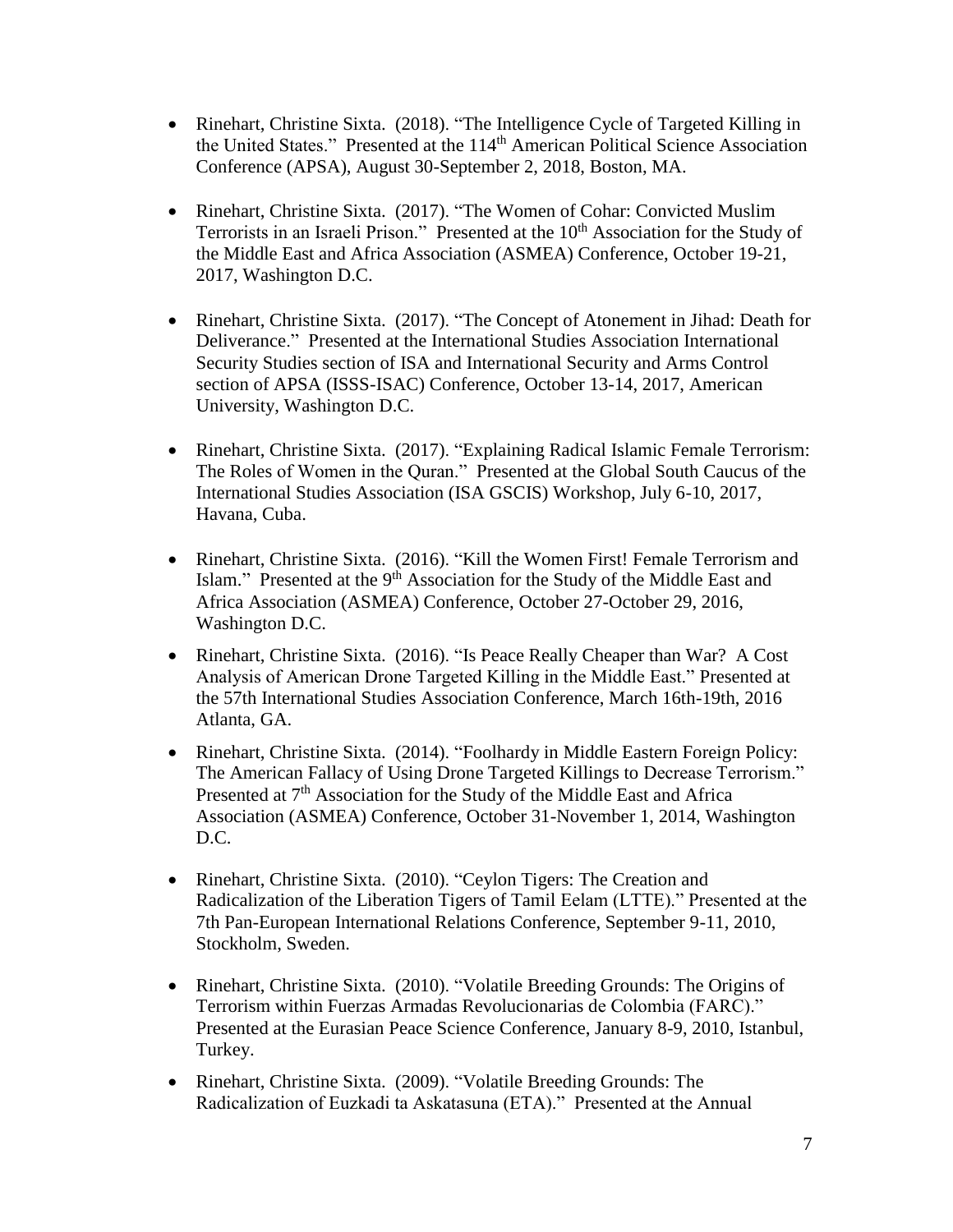- Rinehart, Christine Sixta. (2018). "The Intelligence Cycle of Targeted Killing in the United States." Presented at the 114<sup>th</sup> American Political Science Association Conference (APSA), August 30-September 2, 2018, Boston, MA.
- Rinehart, Christine Sixta. (2017). "The Women of Cohar: Convicted Muslim Terrorists in an Israeli Prison." Presented at the 10<sup>th</sup> Association for the Study of the Middle East and Africa Association (ASMEA) Conference, October 19-21, 2017, Washington D.C.
- Rinehart, Christine Sixta. (2017). "The Concept of Atonement in Jihad: Death for Deliverance." Presented at the International Studies Association International Security Studies section of ISA and International Security and Arms Control section of APSA (ISSS-ISAC) Conference, October 13-14, 2017, American University, Washington D.C.
- Rinehart, Christine Sixta. (2017). "Explaining Radical Islamic Female Terrorism: The Roles of Women in the Quran." Presented at the Global South Caucus of the International Studies Association (ISA GSCIS) Workshop, July 6-10, 2017, Havana, Cuba.
- Rinehart, Christine Sixta. (2016). "Kill the Women First! Female Terrorism and Islam." Presented at the 9<sup>th</sup> Association for the Study of the Middle East and Africa Association (ASMEA) Conference, October 27-October 29, 2016, Washington D.C.
- Rinehart, Christine Sixta. (2016). "Is Peace Really Cheaper than War? A Cost Analysis of American Drone Targeted Killing in the Middle East." Presented at the 57th International Studies Association Conference, March 16th-19th, 2016 Atlanta, GA.
- Rinehart, Christine Sixta. (2014). "Foolhardy in Middle Eastern Foreign Policy: The American Fallacy of Using Drone Targeted Killings to Decrease Terrorism." Presented at 7<sup>th</sup> Association for the Study of the Middle East and Africa Association (ASMEA) Conference, October 31-November 1, 2014, Washington D.C.
- Rinehart, Christine Sixta. (2010). "Ceylon Tigers: The Creation and Radicalization of the Liberation Tigers of Tamil Eelam (LTTE)." Presented at the 7th Pan-European International Relations Conference, September 9-11, 2010, Stockholm, Sweden.
- Rinehart, Christine Sixta. (2010). "Volatile Breeding Grounds: The Origins of Terrorism within Fuerzas Armadas Revolucionarias de Colombia (FARC)." Presented at the Eurasian Peace Science Conference, January 8-9, 2010, Istanbul, Turkey.
- Rinehart, Christine Sixta. (2009). "Volatile Breeding Grounds: The Radicalization of Euzkadi ta Askatasuna (ETA)." Presented at the Annual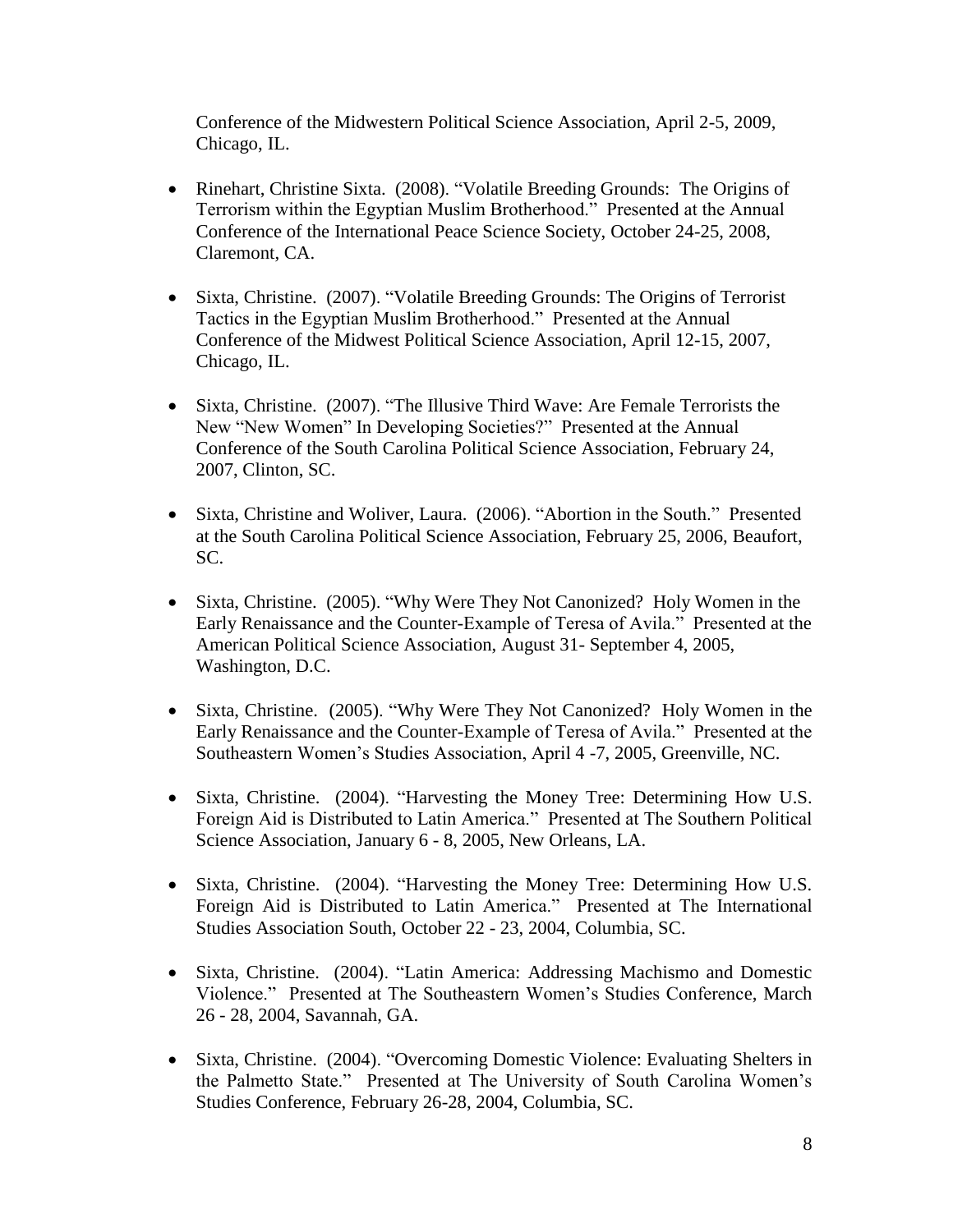Conference of the Midwestern Political Science Association, April 2-5, 2009, Chicago, IL.

- Rinehart, Christine Sixta. (2008). "Volatile Breeding Grounds: The Origins of Terrorism within the Egyptian Muslim Brotherhood." Presented at the Annual Conference of the International Peace Science Society, October 24-25, 2008, Claremont, CA.
- Sixta, Christine. (2007). "Volatile Breeding Grounds: The Origins of Terrorist Tactics in the Egyptian Muslim Brotherhood." Presented at the Annual Conference of the Midwest Political Science Association, April 12-15, 2007, Chicago, IL.
- Sixta, Christine. (2007). "The Illusive Third Wave: Are Female Terrorists the New "New Women" In Developing Societies?" Presented at the Annual Conference of the South Carolina Political Science Association, February 24, 2007, Clinton, SC.
- Sixta, Christine and Woliver, Laura. (2006). "Abortion in the South." Presented at the South Carolina Political Science Association, February 25, 2006, Beaufort, SC.
- Sixta, Christine. (2005). "Why Were They Not Canonized? Holy Women in the Early Renaissance and the Counter-Example of Teresa of Avila." Presented at the American Political Science Association, August 31- September 4, 2005, Washington, D.C.
- Sixta, Christine. (2005). "Why Were They Not Canonized? Holy Women in the Early Renaissance and the Counter-Example of Teresa of Avila." Presented at the Southeastern Women's Studies Association, April 4 -7, 2005, Greenville, NC.
- Sixta, Christine. (2004). "Harvesting the Money Tree: Determining How U.S. Foreign Aid is Distributed to Latin America." Presented at The Southern Political Science Association, January 6 - 8, 2005, New Orleans, LA.
- Sixta, Christine. (2004). "Harvesting the Money Tree: Determining How U.S. Foreign Aid is Distributed to Latin America." Presented at The International Studies Association South, October 22 - 23, 2004, Columbia, SC.
- Sixta, Christine. (2004). "Latin America: Addressing Machismo and Domestic Violence." Presented at The Southeastern Women's Studies Conference, March 26 - 28, 2004, Savannah, GA.
- Sixta, Christine. (2004). "Overcoming Domestic Violence: Evaluating Shelters in the Palmetto State." Presented at The University of South Carolina Women's Studies Conference, February 26-28, 2004, Columbia, SC.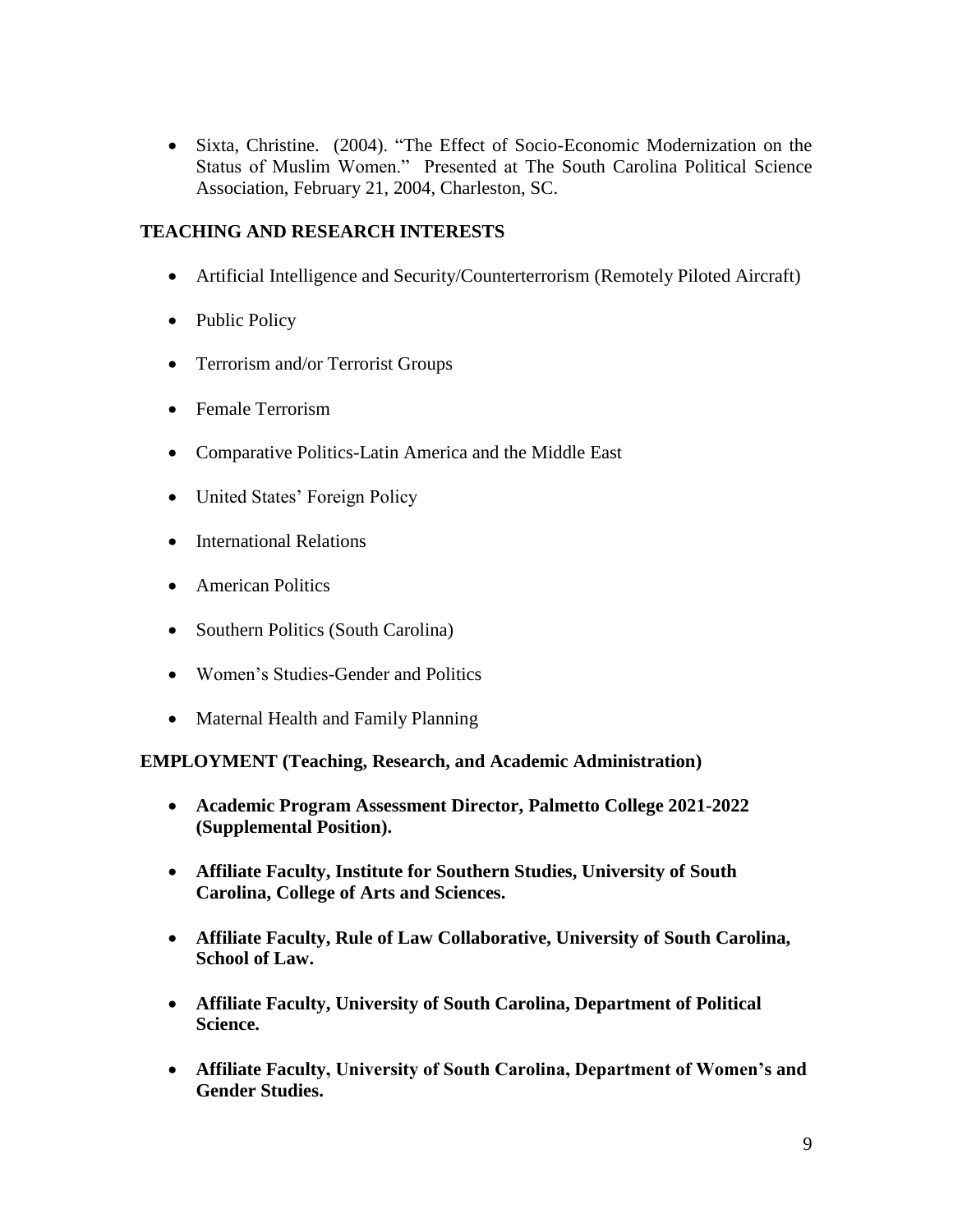Sixta, Christine. (2004). "The Effect of Socio-Economic Modernization on the Status of Muslim Women." Presented at The South Carolina Political Science Association, February 21, 2004, Charleston, SC.

# **TEACHING AND RESEARCH INTERESTS**

- Artificial Intelligence and Security/Counterterrorism (Remotely Piloted Aircraft)
- Public Policy
- Terrorism and/or Terrorist Groups
- Female Terrorism
- Comparative Politics-Latin America and the Middle East
- United States' Foreign Policy
- International Relations
- American Politics
- Southern Politics (South Carolina)
- Women's Studies-Gender and Politics
- Maternal Health and Family Planning

## **EMPLOYMENT (Teaching, Research, and Academic Administration)**

- **Academic Program Assessment Director, Palmetto College 2021-2022 (Supplemental Position).**
- **Affiliate Faculty, Institute for Southern Studies, University of South Carolina, College of Arts and Sciences.**
- **Affiliate Faculty, Rule of Law Collaborative, University of South Carolina, School of Law.**
- **Affiliate Faculty, University of South Carolina, Department of Political Science.**
- **Affiliate Faculty, University of South Carolina, Department of Women's and Gender Studies.**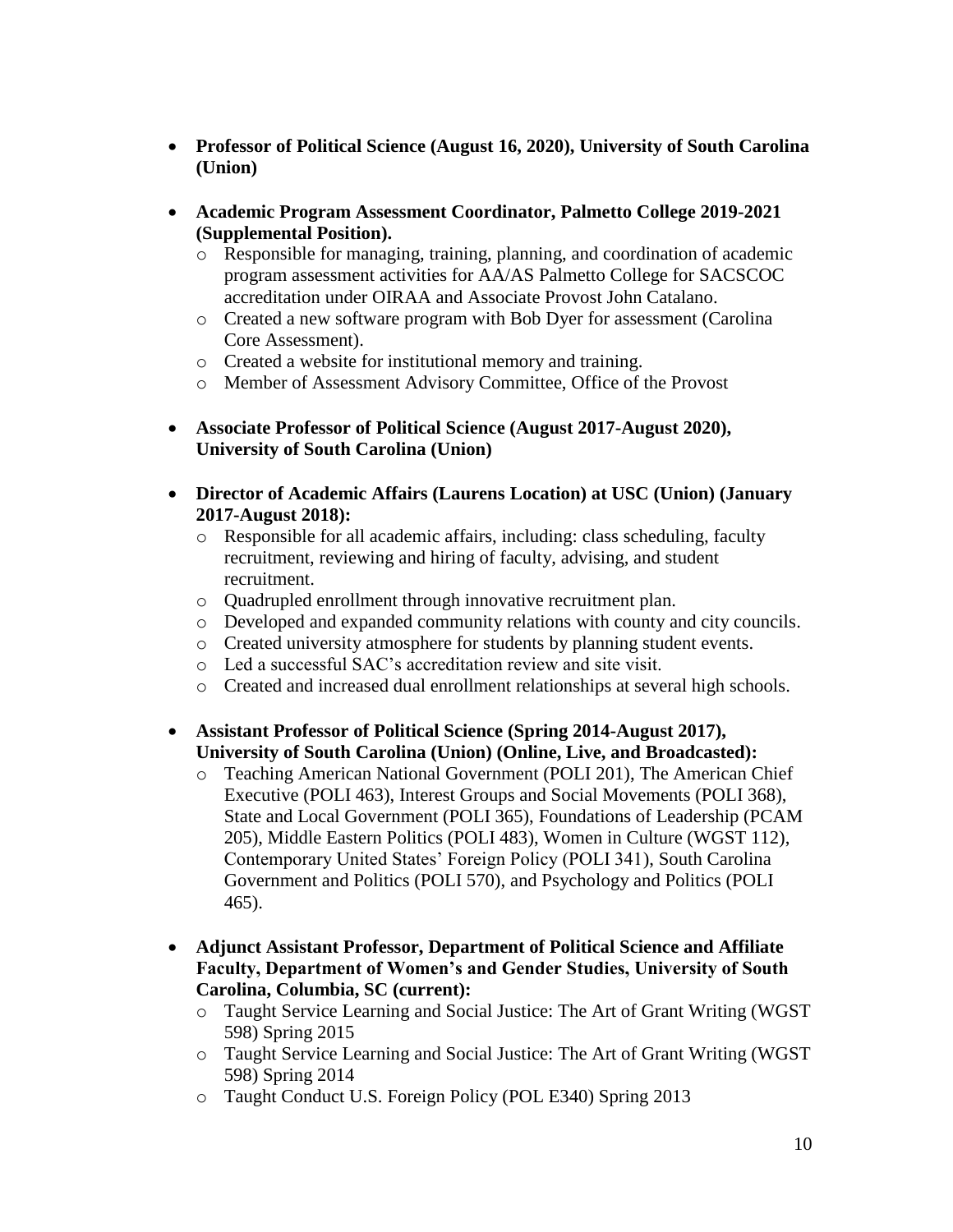- **Professor of Political Science (August 16, 2020), University of South Carolina (Union)**
- **Academic Program Assessment Coordinator, Palmetto College 2019-2021 (Supplemental Position).**
	- o Responsible for managing, training, planning, and coordination of academic program assessment activities for AA/AS Palmetto College for SACSCOC accreditation under OIRAA and Associate Provost John Catalano.
	- o Created a new software program with Bob Dyer for assessment (Carolina Core Assessment).
	- o Created a website for institutional memory and training.
	- o Member of Assessment Advisory Committee, Office of the Provost
- **Associate Professor of Political Science (August 2017-August 2020), University of South Carolina (Union)**
- **Director of Academic Affairs (Laurens Location) at USC (Union) (January 2017-August 2018):**
	- o Responsible for all academic affairs, including: class scheduling, faculty recruitment, reviewing and hiring of faculty, advising, and student recruitment.
	- o Quadrupled enrollment through innovative recruitment plan.
	- o Developed and expanded community relations with county and city councils.
	- o Created university atmosphere for students by planning student events.
	- o Led a successful SAC's accreditation review and site visit.
	- o Created and increased dual enrollment relationships at several high schools.
- **Assistant Professor of Political Science (Spring 2014-August 2017), University of South Carolina (Union) (Online, Live, and Broadcasted):**
	- o Teaching American National Government (POLI 201), The American Chief Executive (POLI 463), Interest Groups and Social Movements (POLI 368), State and Local Government (POLI 365), Foundations of Leadership (PCAM 205), Middle Eastern Politics (POLI 483), Women in Culture (WGST 112), Contemporary United States' Foreign Policy (POLI 341), South Carolina Government and Politics (POLI 570), and Psychology and Politics (POLI 465).
- **Adjunct Assistant Professor, Department of Political Science and Affiliate Faculty, Department of Women's and Gender Studies, University of South Carolina, Columbia, SC (current):**
	- o Taught Service Learning and Social Justice: The Art of Grant Writing (WGST 598) Spring 2015
	- o Taught Service Learning and Social Justice: The Art of Grant Writing (WGST 598) Spring 2014
	- o Taught Conduct U.S. Foreign Policy (POL E340) Spring 2013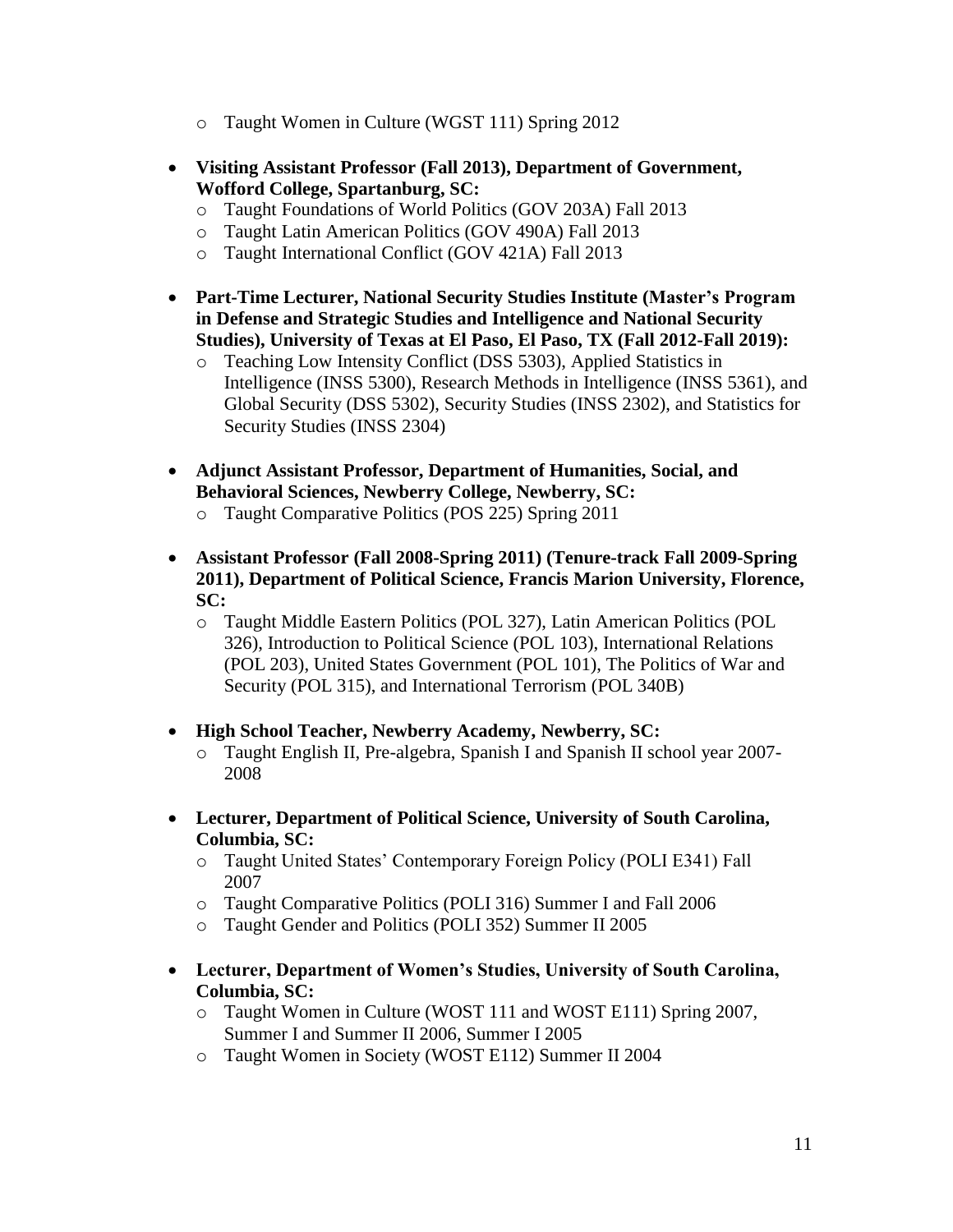- o Taught Women in Culture (WGST 111) Spring 2012
- **Visiting Assistant Professor (Fall 2013), Department of Government, Wofford College, Spartanburg, SC:**
	- o Taught Foundations of World Politics (GOV 203A) Fall 2013
	- o Taught Latin American Politics (GOV 490A) Fall 2013
	- o Taught International Conflict (GOV 421A) Fall 2013
- **Part-Time Lecturer, National Security Studies Institute (Master's Program in Defense and Strategic Studies and Intelligence and National Security Studies), University of Texas at El Paso, El Paso, TX (Fall 2012-Fall 2019):**
	- o Teaching Low Intensity Conflict (DSS 5303), Applied Statistics in Intelligence (INSS 5300), Research Methods in Intelligence (INSS 5361), and Global Security (DSS 5302), Security Studies (INSS 2302), and Statistics for Security Studies (INSS 2304)
- **Adjunct Assistant Professor, Department of Humanities, Social, and Behavioral Sciences, Newberry College, Newberry, SC:**
	- o Taught Comparative Politics (POS 225) Spring 2011
- **Assistant Professor (Fall 2008-Spring 2011) (Tenure-track Fall 2009-Spring 2011), Department of Political Science, Francis Marion University, Florence, SC:**
	- o Taught Middle Eastern Politics (POL 327), Latin American Politics (POL 326), Introduction to Political Science (POL 103), International Relations (POL 203), United States Government (POL 101), The Politics of War and Security (POL 315), and International Terrorism (POL 340B)
- **High School Teacher, Newberry Academy, Newberry, SC:**
	- o Taught English II, Pre-algebra, Spanish I and Spanish II school year 2007- 2008
- **Lecturer, Department of Political Science, University of South Carolina, Columbia, SC:**
	- o Taught United States' Contemporary Foreign Policy (POLI E341) Fall 2007
	- o Taught Comparative Politics (POLI 316) Summer I and Fall 2006
	- o Taught Gender and Politics (POLI 352) Summer II 2005
- **Lecturer, Department of Women's Studies, University of South Carolina, Columbia, SC:**
	- o Taught Women in Culture (WOST 111 and WOST E111) Spring 2007, Summer I and Summer II 2006, Summer I 2005
	- o Taught Women in Society (WOST E112) Summer II 2004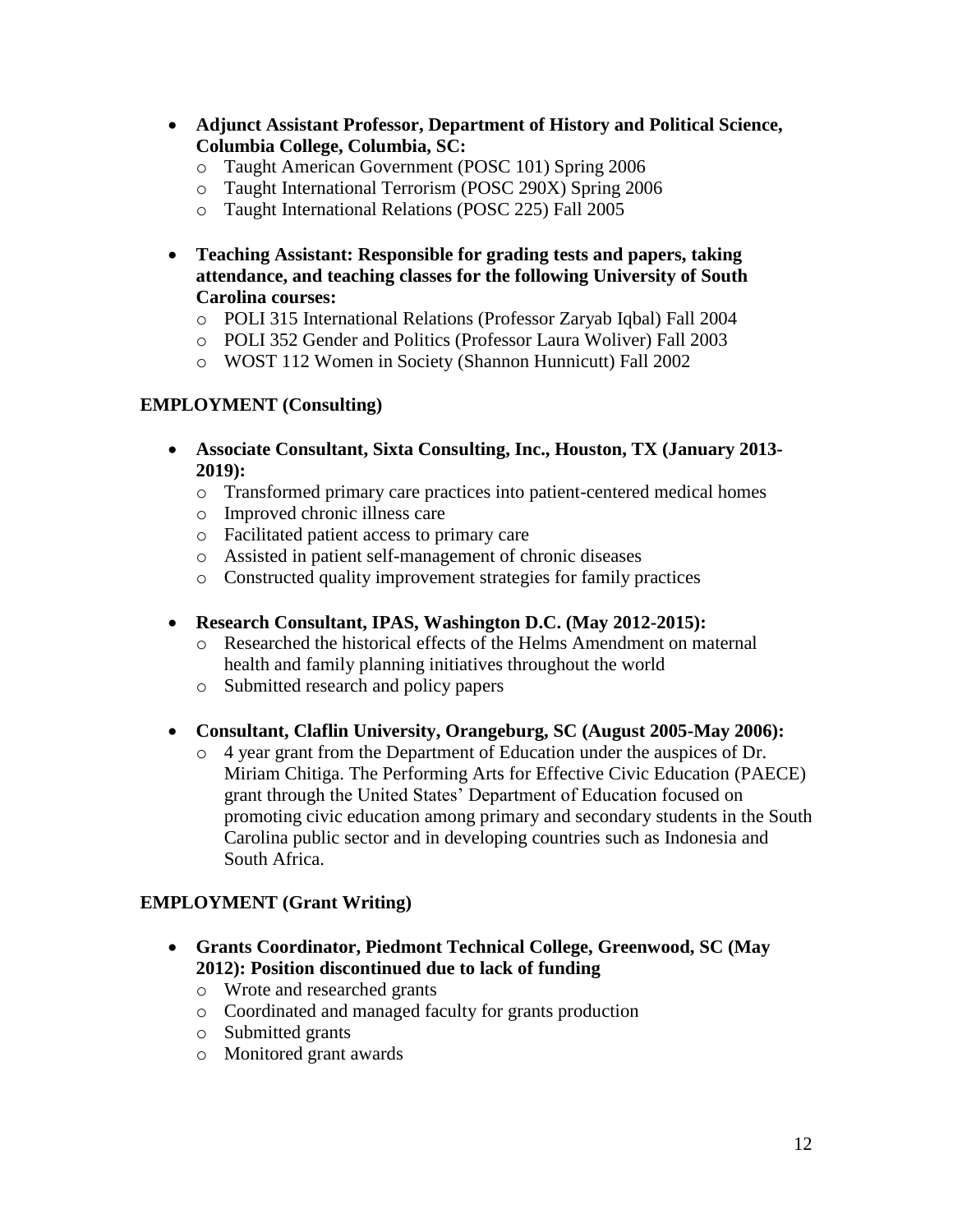- **Adjunct Assistant Professor, Department of History and Political Science, Columbia College, Columbia, SC:**
	- o Taught American Government (POSC 101) Spring 2006
	- o Taught International Terrorism (POSC 290X) Spring 2006
	- o Taught International Relations (POSC 225) Fall 2005
- **Teaching Assistant: Responsible for grading tests and papers, taking attendance, and teaching classes for the following University of South Carolina courses:**
	- o POLI 315 International Relations (Professor Zaryab Iqbal) Fall 2004
	- o POLI 352 Gender and Politics (Professor Laura Woliver) Fall 2003
	- o WOST 112 Women in Society (Shannon Hunnicutt) Fall 2002

### **EMPLOYMENT (Consulting)**

- **Associate Consultant, Sixta Consulting, Inc., Houston, TX (January 2013- 2019):**
	- o Transformed primary care practices into patient-centered medical homes
	- o Improved chronic illness care
	- o Facilitated patient access to primary care
	- o Assisted in patient self-management of chronic diseases
	- o Constructed quality improvement strategies for family practices
- **Research Consultant, IPAS, Washington D.C. (May 2012-2015):**
	- o Researched the historical effects of the Helms Amendment on maternal health and family planning initiatives throughout the world
	- o Submitted research and policy papers
- **Consultant, Claflin University, Orangeburg, SC (August 2005-May 2006):**
	- o 4 year grant from the Department of Education under the auspices of Dr. Miriam Chitiga. The Performing Arts for Effective Civic Education (PAECE) grant through the United States' Department of Education focused on promoting civic education among primary and secondary students in the South Carolina public sector and in developing countries such as Indonesia and South Africa.

## **EMPLOYMENT (Grant Writing)**

- **Grants Coordinator, Piedmont Technical College, Greenwood, SC (May 2012): Position discontinued due to lack of funding**
	- o Wrote and researched grants
	- o Coordinated and managed faculty for grants production
	- o Submitted grants
	- o Monitored grant awards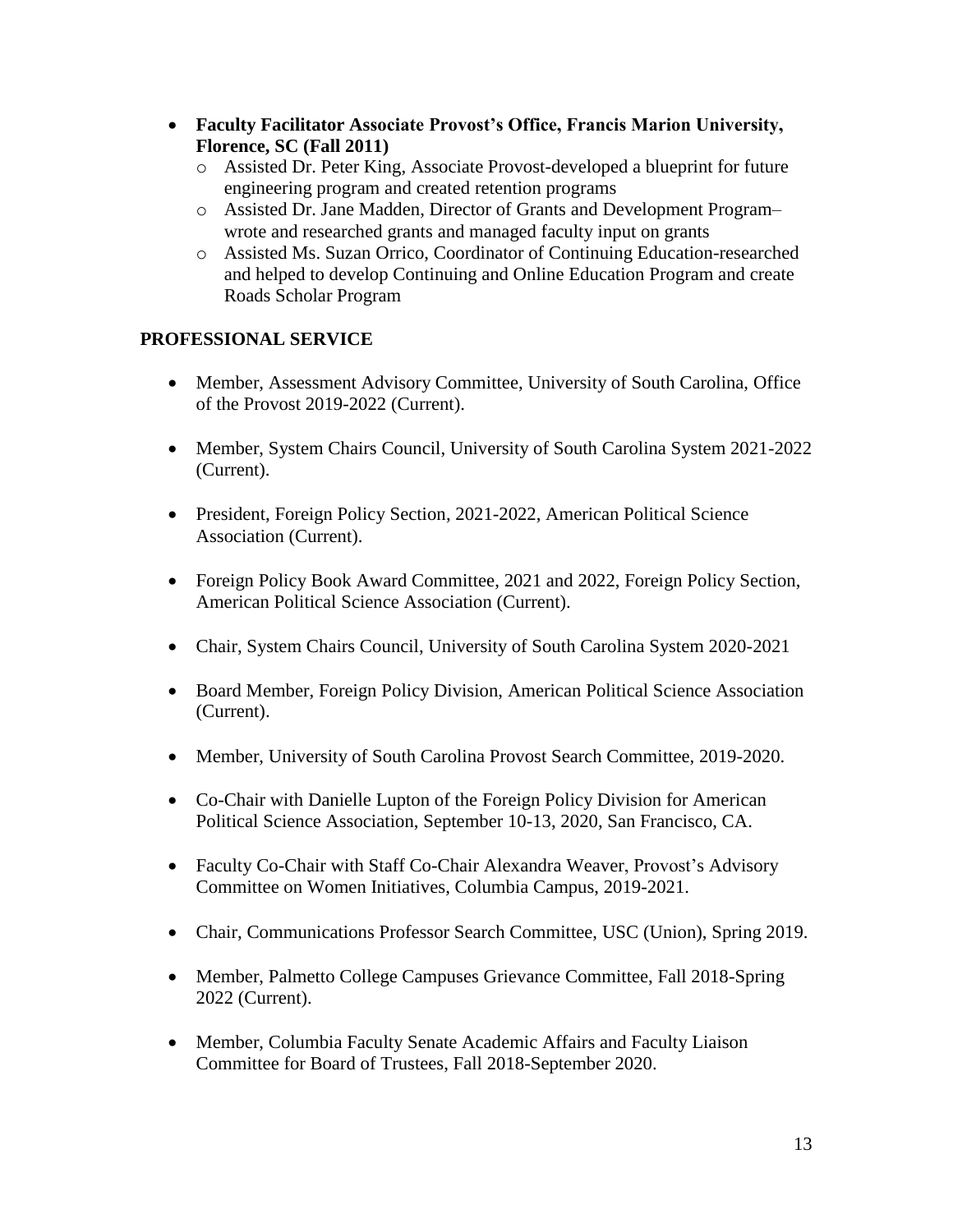- **Faculty Facilitator Associate Provost's Office, Francis Marion University, Florence, SC (Fall 2011)**
	- o Assisted Dr. Peter King, Associate Provost-developed a blueprint for future engineering program and created retention programs
	- o Assisted Dr. Jane Madden, Director of Grants and Development Program– wrote and researched grants and managed faculty input on grants
	- o Assisted Ms. Suzan Orrico, Coordinator of Continuing Education-researched and helped to develop Continuing and Online Education Program and create Roads Scholar Program

# **PROFESSIONAL SERVICE**

- Member, Assessment Advisory Committee, University of South Carolina, Office of the Provost 2019-2022 (Current).
- Member, System Chairs Council, University of South Carolina System 2021-2022 (Current).
- President, Foreign Policy Section, 2021-2022, American Political Science Association (Current).
- Foreign Policy Book Award Committee, 2021 and 2022, Foreign Policy Section, American Political Science Association (Current).
- Chair, System Chairs Council, University of South Carolina System 2020-2021
- Board Member, Foreign Policy Division, American Political Science Association (Current).
- Member, University of South Carolina Provost Search Committee, 2019-2020.
- Co-Chair with Danielle Lupton of the Foreign Policy Division for American Political Science Association, September 10-13, 2020, San Francisco, CA.
- Faculty Co-Chair with Staff Co-Chair Alexandra Weaver, Provost's Advisory Committee on Women Initiatives, Columbia Campus, 2019-2021.
- Chair, Communications Professor Search Committee, USC (Union), Spring 2019.
- Member, Palmetto College Campuses Grievance Committee, Fall 2018-Spring 2022 (Current).
- Member, Columbia Faculty Senate Academic Affairs and Faculty Liaison Committee for Board of Trustees, Fall 2018-September 2020.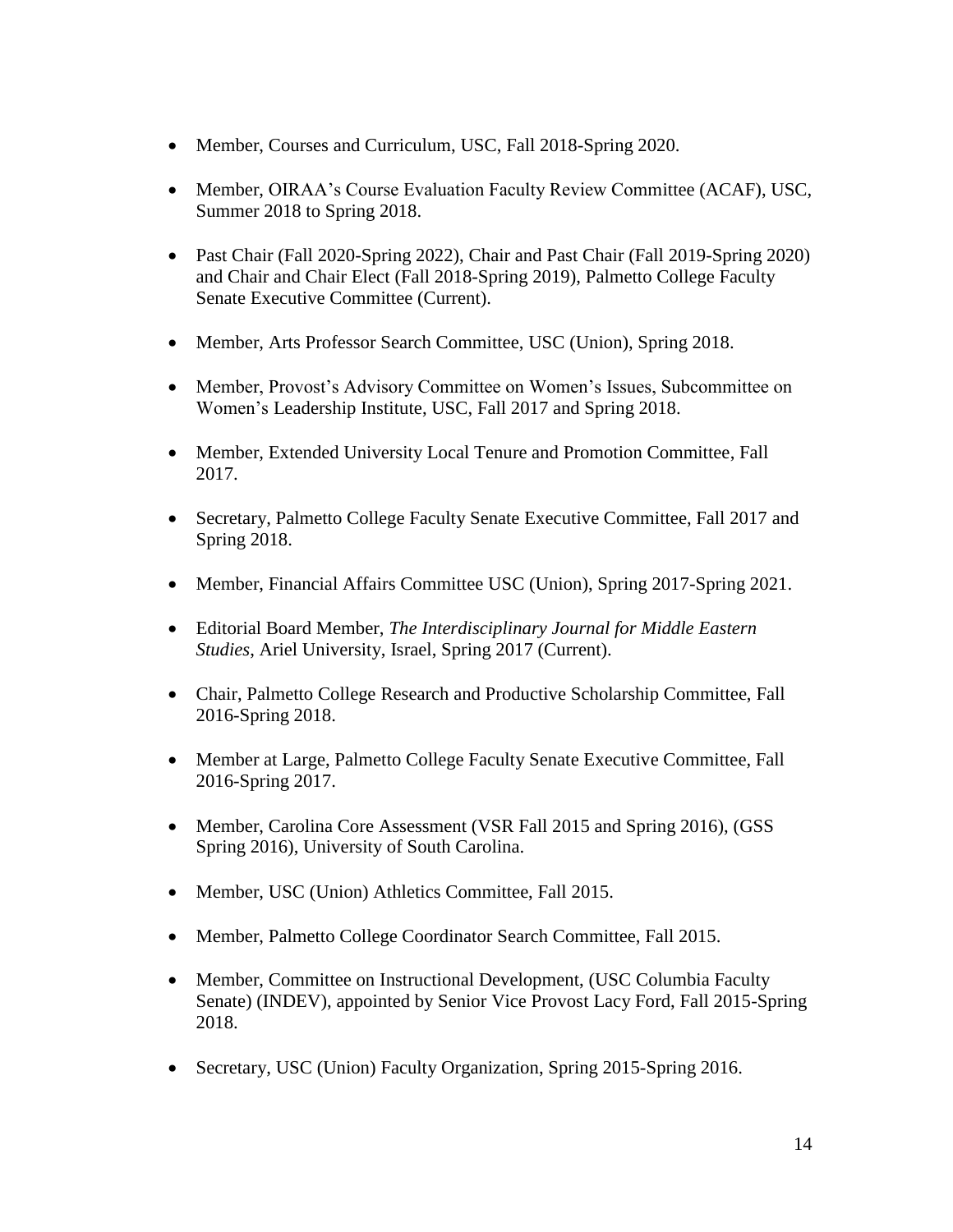- Member, Courses and Curriculum, USC, Fall 2018-Spring 2020.
- Member, OIRAA's Course Evaluation Faculty Review Committee (ACAF), USC, Summer 2018 to Spring 2018.
- Past Chair (Fall 2020-Spring 2022), Chair and Past Chair (Fall 2019-Spring 2020) and Chair and Chair Elect (Fall 2018-Spring 2019), Palmetto College Faculty Senate Executive Committee (Current).
- Member, Arts Professor Search Committee, USC (Union), Spring 2018.
- Member, Provost's Advisory Committee on Women's Issues, Subcommittee on Women's Leadership Institute, USC, Fall 2017 and Spring 2018.
- Member, Extended University Local Tenure and Promotion Committee, Fall 2017.
- Secretary, Palmetto College Faculty Senate Executive Committee, Fall 2017 and Spring 2018.
- Member, Financial Affairs Committee USC (Union), Spring 2017-Spring 2021.
- Editorial Board Member, *The Interdisciplinary Journal for Middle Eastern Studies*, Ariel University, Israel, Spring 2017 (Current).
- Chair, Palmetto College Research and Productive Scholarship Committee, Fall 2016-Spring 2018.
- Member at Large, Palmetto College Faculty Senate Executive Committee, Fall 2016-Spring 2017.
- Member, Carolina Core Assessment (VSR Fall 2015 and Spring 2016), (GSS Spring 2016), University of South Carolina.
- Member, USC (Union) Athletics Committee, Fall 2015.
- Member, Palmetto College Coordinator Search Committee, Fall 2015.
- Member, Committee on Instructional Development, (USC Columbia Faculty Senate) (INDEV), appointed by Senior Vice Provost Lacy Ford, Fall 2015-Spring 2018.
- Secretary, USC (Union) Faculty Organization, Spring 2015-Spring 2016.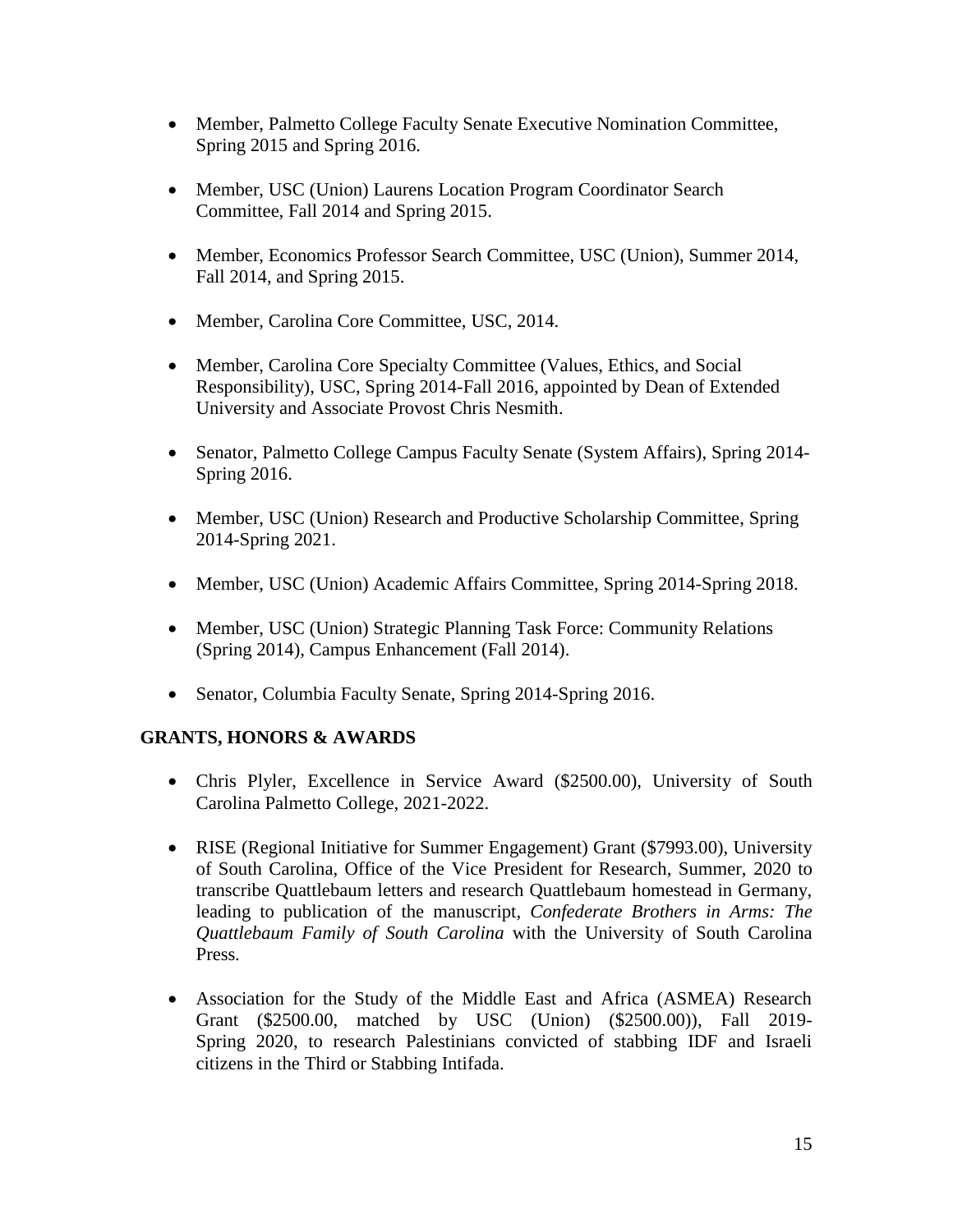- Member, Palmetto College Faculty Senate Executive Nomination Committee, Spring 2015 and Spring 2016.
- Member, USC (Union) Laurens Location Program Coordinator Search Committee, Fall 2014 and Spring 2015.
- Member, Economics Professor Search Committee, USC (Union), Summer 2014, Fall 2014, and Spring 2015.
- Member, Carolina Core Committee, USC, 2014.
- Member, Carolina Core Specialty Committee (Values, Ethics, and Social Responsibility), USC, Spring 2014-Fall 2016, appointed by Dean of Extended University and Associate Provost Chris Nesmith.
- Senator, Palmetto College Campus Faculty Senate (System Affairs), Spring 2014- Spring 2016.
- Member, USC (Union) Research and Productive Scholarship Committee, Spring 2014-Spring 2021.
- Member, USC (Union) Academic Affairs Committee, Spring 2014-Spring 2018.
- Member, USC (Union) Strategic Planning Task Force: Community Relations (Spring 2014), Campus Enhancement (Fall 2014).
- Senator, Columbia Faculty Senate, Spring 2014-Spring 2016.

# **GRANTS, HONORS & AWARDS**

- Chris Plyler, Excellence in Service Award (\$2500.00), University of South Carolina Palmetto College, 2021-2022.
- RISE (Regional Initiative for Summer Engagement) Grant (\$7993.00), University of South Carolina, Office of the Vice President for Research, Summer, 2020 to transcribe Quattlebaum letters and research Quattlebaum homestead in Germany, leading to publication of the manuscript, *Confederate Brothers in Arms: The Quattlebaum Family of South Carolina* with the University of South Carolina Press*.*
- Association for the Study of the Middle East and Africa (ASMEA) Research Grant (\$2500.00, matched by USC (Union) (\$2500.00)), Fall 2019- Spring 2020, to research Palestinians convicted of stabbing IDF and Israeli citizens in the Third or Stabbing Intifada.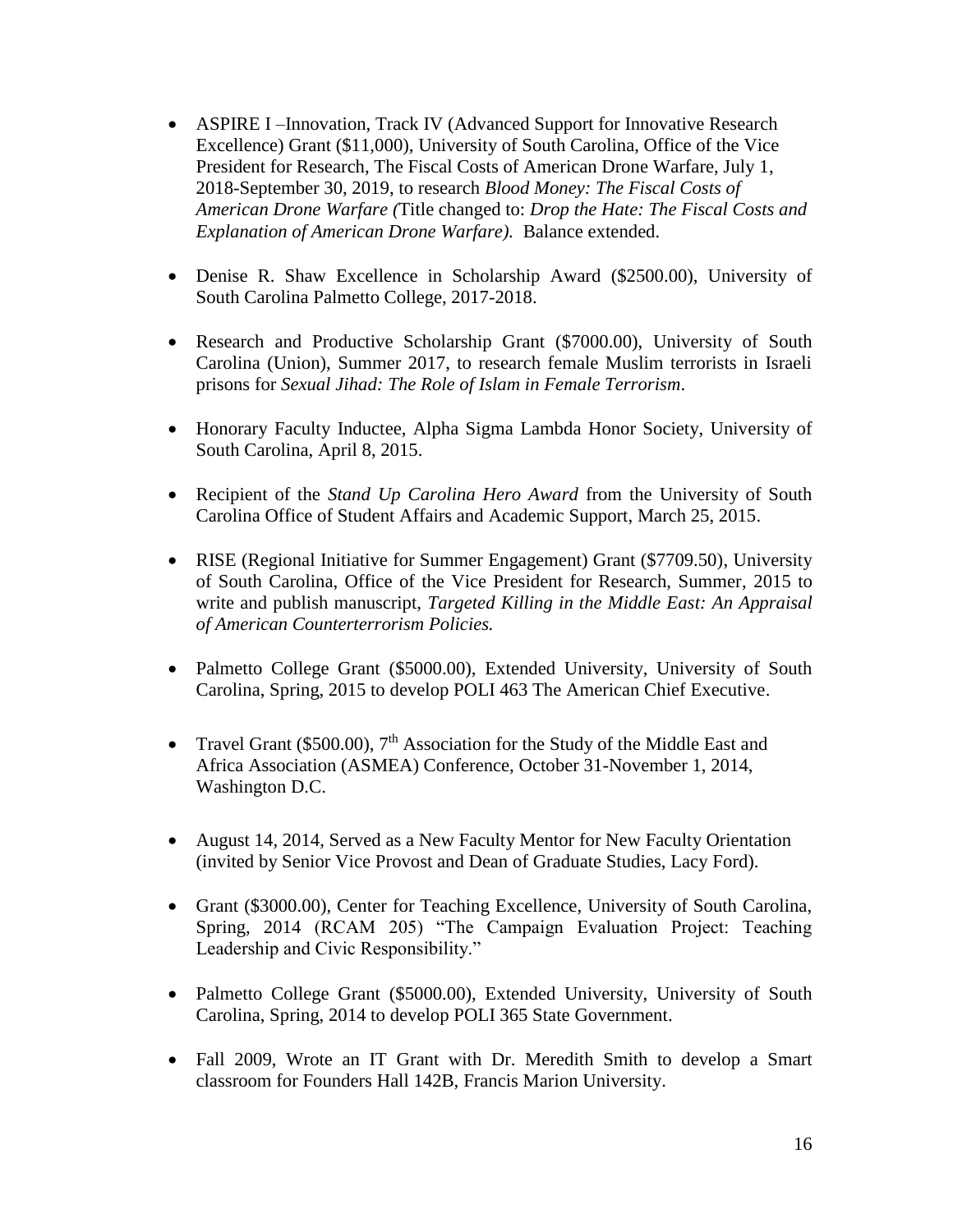- ASPIRE I –Innovation, Track IV (Advanced Support for Innovative Research Excellence) Grant (\$11,000), University of South Carolina, Office of the Vice President for Research, The Fiscal Costs of American Drone Warfare, July 1, 2018-September 30, 2019, to research *Blood Money: The Fiscal Costs of American Drone Warfare (*Title changed to: *Drop the Hate: The Fiscal Costs and Explanation of American Drone Warfare).* Balance extended.
- Denise R. Shaw Excellence in Scholarship Award (\$2500.00), University of South Carolina Palmetto College, 2017-2018.
- Research and Productive Scholarship Grant (\$7000.00), University of South Carolina (Union), Summer 2017, to research female Muslim terrorists in Israeli prisons for *Sexual Jihad: The Role of Islam in Female Terrorism*.
- Honorary Faculty Inductee, Alpha Sigma Lambda Honor Society, University of South Carolina, April 8, 2015.
- Recipient of the *Stand Up Carolina Hero Award* from the University of South Carolina Office of Student Affairs and Academic Support, March 25, 2015.
- RISE (Regional Initiative for Summer Engagement) Grant (\$7709.50), University of South Carolina, Office of the Vice President for Research, Summer, 2015 to write and publish manuscript, *Targeted Killing in the Middle East: An Appraisal of American Counterterrorism Policies.*
- Palmetto College Grant (\$5000.00), Extended University, University of South Carolina, Spring, 2015 to develop POLI 463 The American Chief Executive.
- Travel Grant (\$500.00),  $7<sup>th</sup>$  Association for the Study of the Middle East and Africa Association (ASMEA) Conference, October 31-November 1, 2014, Washington D.C.
- August 14, 2014, Served as a New Faculty Mentor for New Faculty Orientation (invited by Senior Vice Provost and Dean of Graduate Studies, Lacy Ford).
- Grant (\$3000.00), Center for Teaching Excellence, University of South Carolina, Spring, 2014 (RCAM 205) "The Campaign Evaluation Project: Teaching Leadership and Civic Responsibility."
- Palmetto College Grant (\$5000.00), Extended University, University of South Carolina, Spring, 2014 to develop POLI 365 State Government.
- Fall 2009, Wrote an IT Grant with Dr. Meredith Smith to develop a Smart classroom for Founders Hall 142B, Francis Marion University.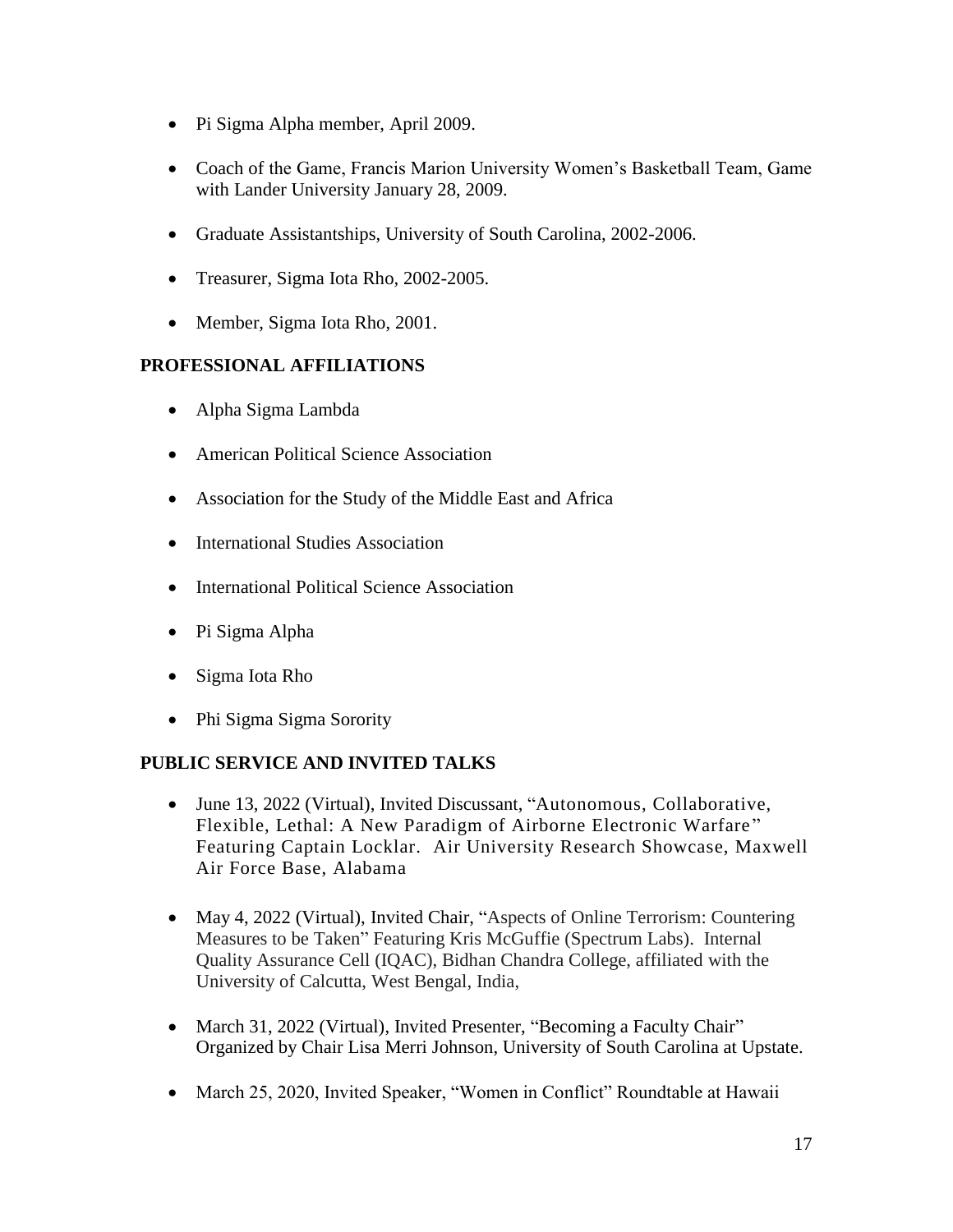- Pi Sigma Alpha member, April 2009.
- Coach of the Game, Francis Marion University Women's Basketball Team, Game with Lander University January 28, 2009.
- Graduate Assistantships, University of South Carolina, 2002-2006.
- Treasurer, Sigma Iota Rho, 2002-2005.
- Member, Sigma Iota Rho, 2001.

## **PROFESSIONAL AFFILIATIONS**

- Alpha Sigma Lambda
- American Political Science Association
- Association for the Study of the Middle East and Africa
- International Studies Association
- International Political Science Association
- Pi Sigma Alpha
- Sigma Iota Rho
- Phi Sigma Sigma Sorority

## **PUBLIC SERVICE AND INVITED TALKS**

- June 13, 2022 (Virtual), Invited Discussant, "Autonomous, Collaborative, Flexible, Lethal: A New Paradigm of Airborne Electronic Warfare " Featuring Captain Locklar. Air University Research Showcase, Maxwell Air Force Base, Alabama
- May 4, 2022 (Virtual), Invited Chair, "Aspects of Online Terrorism: Countering Measures to be Taken" Featuring Kris McGuffie (Spectrum Labs). Internal Quality Assurance Cell (IQAC), Bidhan Chandra College, affiliated with the University of Calcutta, West Bengal, India,
- March 31, 2022 (Virtual), Invited Presenter, "Becoming a Faculty Chair" Organized by Chair Lisa Merri Johnson, University of South Carolina at Upstate.
- March 25, 2020, Invited Speaker, "Women in Conflict" Roundtable at Hawaii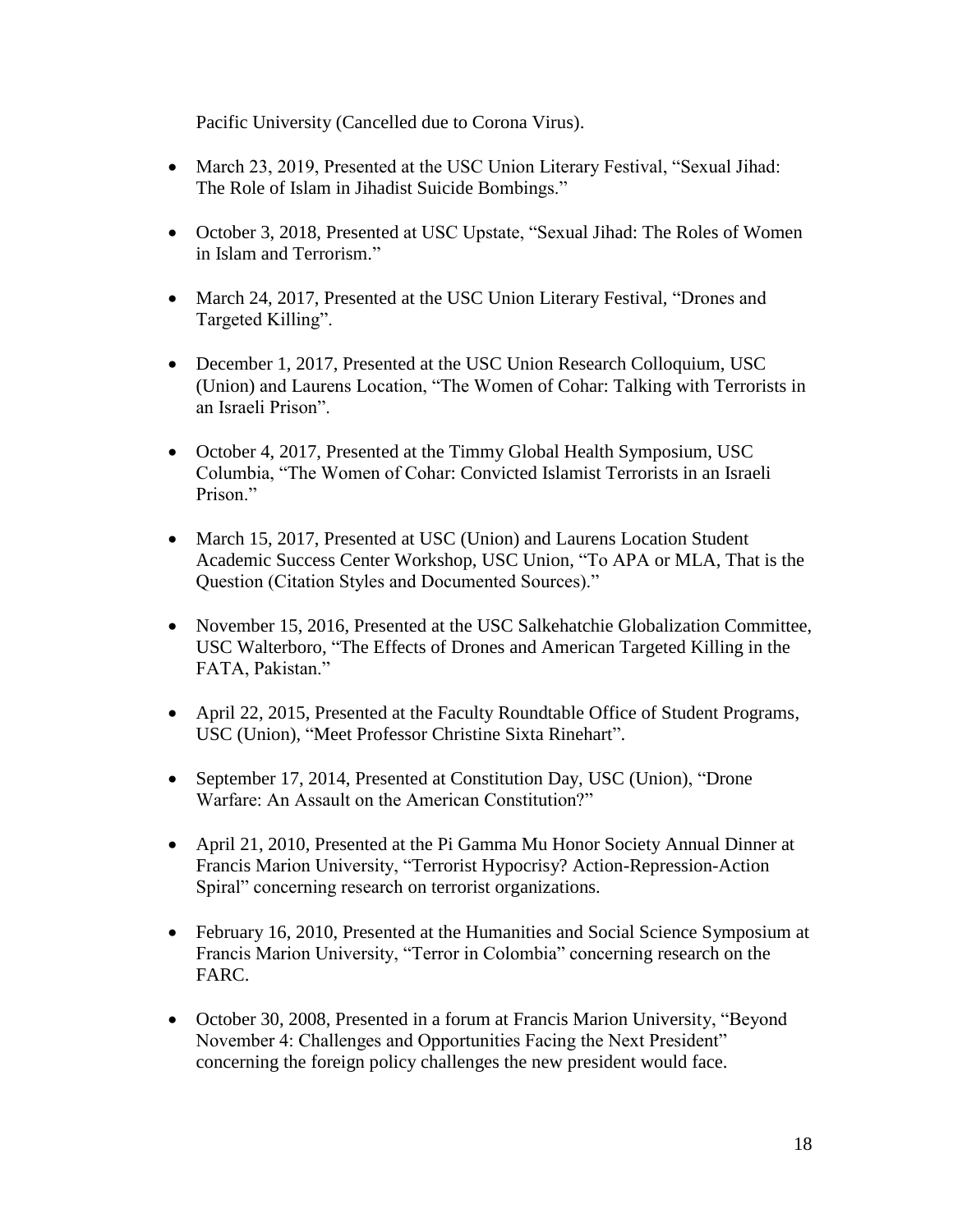Pacific University (Cancelled due to Corona Virus).

- March 23, 2019, Presented at the USC Union Literary Festival, "Sexual Jihad: The Role of Islam in Jihadist Suicide Bombings."
- October 3, 2018, Presented at USC Upstate, "Sexual Jihad: The Roles of Women in Islam and Terrorism."
- March 24, 2017, Presented at the USC Union Literary Festival, "Drones and Targeted Killing".
- December 1, 2017, Presented at the USC Union Research Colloquium, USC (Union) and Laurens Location, "The Women of Cohar: Talking with Terrorists in an Israeli Prison".
- October 4, 2017, Presented at the Timmy Global Health Symposium, USC Columbia, "The Women of Cohar: Convicted Islamist Terrorists in an Israeli Prison."
- March 15, 2017, Presented at USC (Union) and Laurens Location Student Academic Success Center Workshop, USC Union, "To APA or MLA, That is the Question (Citation Styles and Documented Sources)."
- November 15, 2016, Presented at the USC Salkehatchie Globalization Committee, USC Walterboro, "The Effects of Drones and American Targeted Killing in the FATA, Pakistan."
- April 22, 2015, Presented at the Faculty Roundtable Office of Student Programs, USC (Union), "Meet Professor Christine Sixta Rinehart".
- September 17, 2014, Presented at Constitution Day, USC (Union), "Drone Warfare: An Assault on the American Constitution?"
- April 21, 2010, Presented at the Pi Gamma Mu Honor Society Annual Dinner at Francis Marion University, "Terrorist Hypocrisy? Action-Repression-Action Spiral" concerning research on terrorist organizations.
- February 16, 2010, Presented at the Humanities and Social Science Symposium at Francis Marion University, "Terror in Colombia" concerning research on the FARC.
- October 30, 2008, Presented in a forum at Francis Marion University, "Beyond November 4: Challenges and Opportunities Facing the Next President" concerning the foreign policy challenges the new president would face.